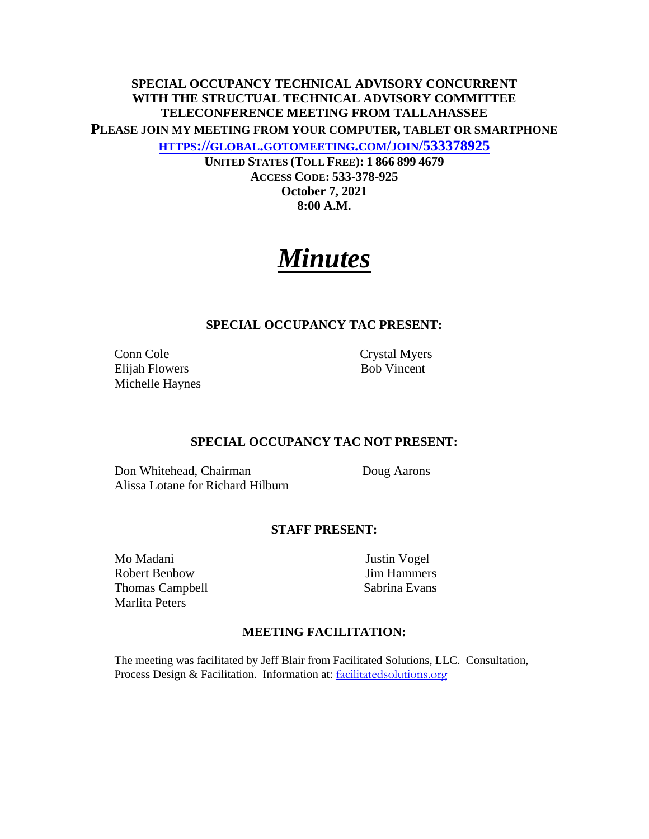# **SPECIAL OCCUPANCY TECHNICAL ADVISORY CONCURRENT WITH THE STRUCTUAL TECHNICAL ADVISORY COMMITTEE TELECONFERENCE MEETING FROM TALLAHASSEE PLEASE JOIN MY MEETING FROM YOUR COMPUTER, TABLET OR SMARTPHONE HTTPS://GLOBAL.GOTOMEETING.COM/JOIN/533378925**

**UNITED STATES (TOLL FREE): 1 866 899 4679 ACCESS CODE: 533-378-925 October 7, 2021 8:00 A.M.** 

# *Minutes*

### **SPECIAL OCCUPANCY TAC PRESENT:**

Conn Cole Crystal Myers Elijah Flowers Bob Vincent Michelle Haynes

#### **SPECIAL OCCUPANCY TAC NOT PRESENT:**

Don Whitehead, Chairman Doug Aarons Alissa Lotane for Richard Hilburn

#### **STAFF PRESENT:**

Mo Madani Justin Vogel Robert Benbow Jim Hammers Thomas Campbell Sabrina Evans Marlita Peters

### **MEETING FACILITATION:**

The meeting was facilitated by Jeff Blair from Facilitated Solutions, LLC. Consultation, Process Design & Facilitation. Information at: facilitatedsolutions.org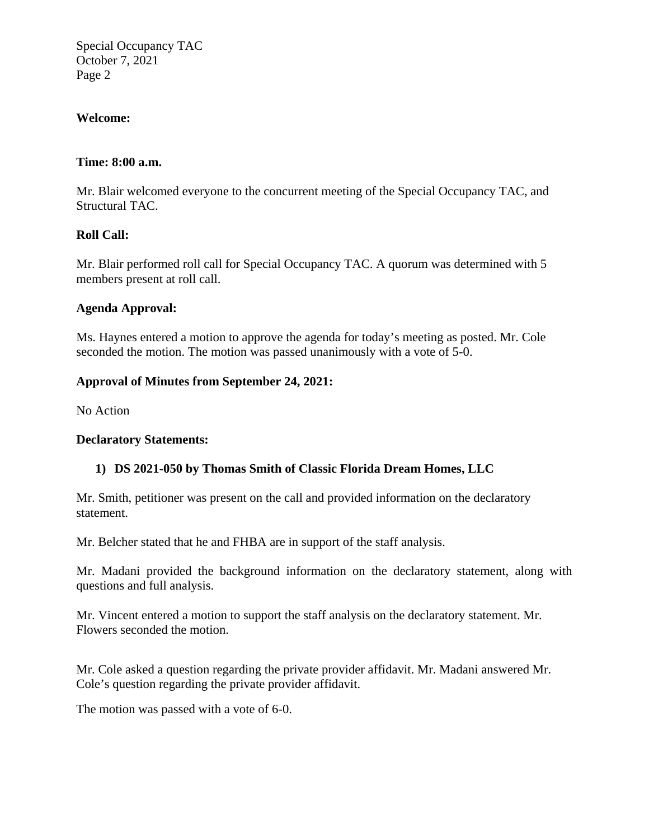Special Occupancy TAC October 7, 2021 Page 2

## **Welcome:**

### **Time: 8:00 a.m.**

Mr. Blair welcomed everyone to the concurrent meeting of the Special Occupancy TAC, and Structural TAC.

## **Roll Call:**

Mr. Blair performed roll call for Special Occupancy TAC. A quorum was determined with 5 members present at roll call.

### **Agenda Approval:**

Ms. Haynes entered a motion to approve the agenda for today's meeting as posted. Mr. Cole seconded the motion. The motion was passed unanimously with a vote of 5-0.

### **Approval of Minutes from September 24, 2021:**

No Action

### **Declaratory Statements:**

### **1) DS 2021-050 by Thomas Smith of Classic Florida Dream Homes, LLC**

Mr. Smith, petitioner was present on the call and provided information on the declaratory statement.

Mr. Belcher stated that he and FHBA are in support of the staff analysis.

Mr. Madani provided the background information on the declaratory statement, along with questions and full analysis.

Mr. Vincent entered a motion to support the staff analysis on the declaratory statement. Mr. Flowers seconded the motion.

Mr. Cole asked a question regarding the private provider affidavit. Mr. Madani answered Mr. Cole's question regarding the private provider affidavit.

The motion was passed with a vote of 6-0.